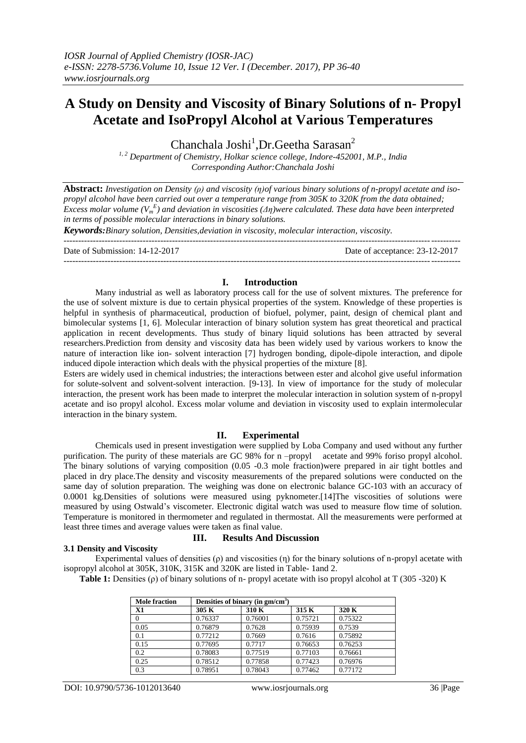# **A Study on Density and Viscosity of Binary Solutions of n- Propyl Acetate and IsoPropyl Alcohol at Various Temperatures**

Chanchala Joshi<sup>1</sup>, Dr. Geetha Sarasan<sup>2</sup>

*1, 2 Department of Chemistry, Holkar science college, Indore-452001, M.P., India Corresponding Author:Chanchala Joshi*

**Abstract:** *Investigation on Density (ρ) and viscosity (η)of various binary solutions of n-propyl acetate and isopropyl alcohol have been carried out over a temperature range from 305K to 320K from the data obtained; Excess molar volume (V<sup>m</sup> E ) and deviation in viscosities (Δη)were calculated. These data have been interpreted in terms of possible molecular interactions in binary solutions. Keywords:Binary solution, Densities,deviation in viscosity, molecular interaction, viscosity.* ---------------------------------------------------------------------------------------------------------------------------------------

Date of Submission: 14-12-2017 Date of acceptance: 23-12-2017 ---------------------------------------------------------------------------------------------------------------------------------------

## **I. Introduction**

Many industrial as well as laboratory process call for the use of solvent mixtures. The preference for the use of solvent mixture is due to certain physical properties of the system. Knowledge of these properties is helpful in synthesis of pharmaceutical, production of biofuel, polymer, paint, design of chemical plant and bimolecular systems [1, 6]. Molecular interaction of binary solution system has great theoretical and practical application in recent developments. Thus study of binary liquid solutions has been attracted by several researchers.Prediction from density and viscosity data has been widely used by various workers to know the nature of interaction like ion- solvent interaction [7] hydrogen bonding, dipole-dipole interaction, and dipole induced dipole interaction which deals with the physical properties of the mixture [8].

Esters are widely used in chemical industries; the interactions between ester and alcohol give useful information for solute-solvent and solvent-solvent interaction. [9-13]. In view of importance for the study of molecular interaction, the present work has been made to interpret the molecular interaction in solution system of n-propyl acetate and iso propyl alcohol. Excess molar volume and deviation in viscosity used to explain intermolecular interaction in the binary system.

## **II. Experimental**

Chemicals used in present investigation were supplied by Loba Company and used without any further purification. The purity of these materials are GC 98% for n –propyl acetate and 99% foriso propyl alcohol. The binary solutions of varying composition (0.05 -0.3 mole fraction)were prepared in air tight bottles and placed in dry place.The density and viscosity measurements of the prepared solutions were conducted on the same day of solution preparation. The weighing was done on electronic balance GC-103 with an accuracy of 0.0001 kg.Densities of solutions were measured using pyknometer.[14]The viscosities of solutions were measured by using Ostwald's viscometer. Electronic digital watch was used to measure flow time of solution. Temperature is monitored in thermometer and regulated in thermostat. All the measurements were performed at least three times and average values were taken as final value.

#### **3.1 Density and Viscosity**

# **III. Results And Discussion**

Experimental values of densities ( $\rho$ ) and viscosities ( $\eta$ ) for the binary solutions of n-propyl acetate with isopropyl alcohol at 305K, 310K, 315K and 320K are listed in Table- 1and 2.

**Table 1:** Densities (ρ) of binary solutions of n- propyl acetate with iso propyl alcohol at T (305 -320) K

| <b>Mole fraction</b> |         | Densities of binary (in gm/cm <sup>3</sup> ) |         |         |
|----------------------|---------|----------------------------------------------|---------|---------|
| X1                   | 305 K   | 310 K                                        | 315 K   | 320 K   |
| $\Omega$             | 0.76337 | 0.76001                                      | 0.75721 | 0.75322 |
| 0.05                 | 0.76879 | 0.7628                                       | 0.75939 | 0.7539  |
| 0.1                  | 0.77212 | 0.7669                                       | 0.7616  | 0.75892 |
| 0.15                 | 0.77695 | 0.7717                                       | 0.76653 | 0.76253 |
| 0.2                  | 0.78083 | 0.77519                                      | 0.77103 | 0.76661 |
| 0.25                 | 0.78512 | 0.77858                                      | 0.77423 | 0.76976 |
| 0.3                  | 0.78951 | 0.78043                                      | 0.77462 | 0.77172 |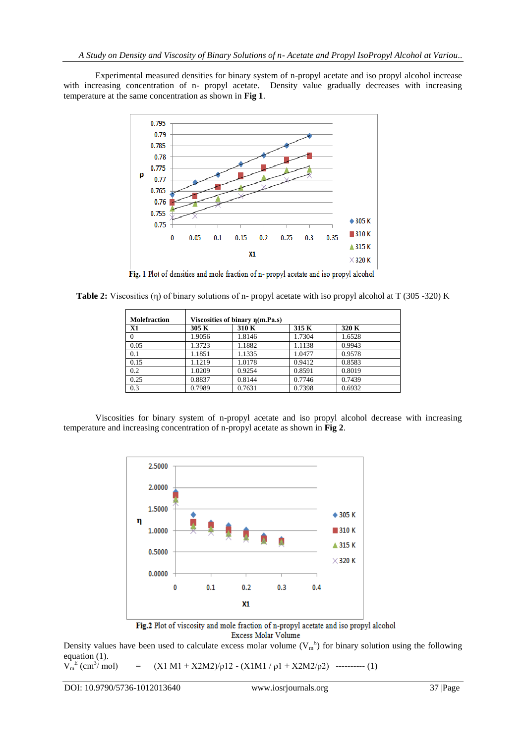Experimental measured densities for binary system of n-propyl acetate and iso propyl alcohol increase with increasing concentration of n- propyl acetate. Density value gradually decreases with increasing temperature at the same concentration as shown in **Fig 1**.



Fig. 1 Plot of densities and mole fraction of n- propyl acetate and iso propyl alcohol

|  |  |  | <b>Table 2:</b> Viscosities ( $\eta$ ) of binary solutions of n- propyl acetate with iso propyl alcohol at T (305 -320) K |  |
|--|--|--|---------------------------------------------------------------------------------------------------------------------------|--|
|  |  |  |                                                                                                                           |  |

| <b>Molefraction</b> |        | Viscosities of binary $\eta(m.Pa.s)$ |        |        |  |
|---------------------|--------|--------------------------------------|--------|--------|--|
| X1                  | 305 K  | 310 K                                | 315 K  | 320 K  |  |
| $\Omega$            | 1.9056 | 1.8146                               | 1.7304 | 1.6528 |  |
| 0.05                | 1.3723 | 1.1882                               | 1.1138 | 0.9943 |  |
| 0.1                 | 1.1851 | 1.1335                               | 1.0477 | 0.9578 |  |
| 0.15                | 1.1219 | 1.0178                               | 0.9412 | 0.8583 |  |
| 0.2                 | 1.0209 | 0.9254                               | 0.8591 | 0.8019 |  |
| 0.25                | 0.8837 | 0.8144                               | 0.7746 | 0.7439 |  |
| 0.3                 | 0.7989 | 0.7631                               | 0.7398 | 0.6932 |  |

Viscosities for binary system of n-propyl acetate and iso propyl alcohol decrease with increasing temperature and increasing concentration of n-propyl acetate as shown in **Fig 2**.



Fig.2 Plot of viscosity and mole fraction of n-propyl acetate and iso propyl alcohol Excess Molar Volume

Density values have been used to calculate excess molar volume  $(V_m^E)$  for binary solution using the following equation (1).

```
\overline{V_m^E} (cm<sup>3</sup>
                        (X1 M1 + X2 M2)/\rho 12 - (X1 M1 / \rho 1 + X2 M2/\rho 2) ---------- (1)
```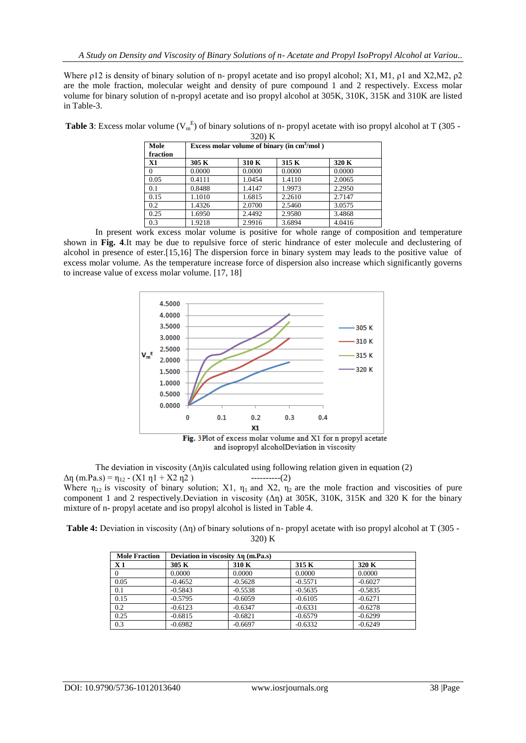Where ρ12 is density of binary solution of n- propyl acetate and iso propyl alcohol; X1, M1, ρ1 and X2,M2, ρ2 are the mole fraction, molecular weight and density of pure compound 1 and 2 respectively. Excess molar volume for binary solution of n-propyl acetate and iso propyl alcohol at 305K, 310K, 315K and 310K are listed in Table-3.

| Mole<br>fraction | Excess molar volume of binary (in $cm3/mol$ ) |        |        |        |  |
|------------------|-----------------------------------------------|--------|--------|--------|--|
| <b>X1</b>        | 305 K                                         | 310 K  | 315 K  | 320 K  |  |
| $\Omega$         | 0.0000                                        | 0.0000 | 0.0000 | 0.0000 |  |
| 0.05             | 0.4111                                        | 1.0454 | 1.4110 | 2.0065 |  |
| 0.1              | 0.8488                                        | 1.4147 | 1.9973 | 2.2950 |  |
| 0.15             | 1.1010                                        | 1.6815 | 2.2610 | 2.7147 |  |
| 0.2              | 1.4326                                        | 2.0700 | 2.5460 | 3.0575 |  |
| 0.25             | 1.6950                                        | 2.4492 | 2.9580 | 3.4868 |  |
| 0.3              | 1.9218                                        | 2.9916 | 3.6894 | 4.0416 |  |

**Table 3**: Excess molar volume  $(V_m^E)$  of binary solutions of n- propyl acetate with iso propyl alcohol at T (305 -320) K

In present work excess molar volume is positive for whole range of composition and temperature shown in **Fig. 4**.It may be due to repulsive force of steric hindrance of ester molecule and declustering of alcohol in presence of ester.[15,16] The dispersion force in binary system may leads to the positive value of excess molar volume. As the temperature increase force of dispersion also increase which significantly governs to increase value of excess molar volume. [17, 18]



and isopropyl alcoholDeviation in viscosity

The deviation in viscosity  $(\Delta \eta)$  is calculated using following relation given in equation (2)  $\Delta \eta$  (m.Pa.s) =  $\eta_{12}$  - (X1  $\eta$ 1 + X2  $\eta$ 2) -----------(2) Where  $\eta_{12}$  is viscosity of binary solution; X1,  $\eta_1$  and X2,  $\eta_2$  are the mole fraction and viscosities of pure component 1 and 2 respectively.Deviation in viscosity ( $\Delta n$ ) at 305K, 310K, 315K and 320 K for the binary mixture of n- propyl acetate and iso propyl alcohol is listed in Table 4.

**Table 4:** Deviation in viscosity (Δη) of binary solutions of n- propyl acetate with iso propyl alcohol at T (305 - 320) K

| <b>Mole Fraction</b> | Deviation in viscosity $\Delta \eta$ (m.Pa.s) |           |           |           |  |  |
|----------------------|-----------------------------------------------|-----------|-----------|-----------|--|--|
| X <sub>1</sub>       | 305 K                                         | 310 K     | 315 K     | 320 K     |  |  |
|                      | 0.0000                                        | 0.0000    | 0.0000    | 0.0000    |  |  |
| 0.05                 | $-0.4652$                                     | $-0.5628$ | $-0.5571$ | $-0.6027$ |  |  |
| 0.1                  | $-0.5843$                                     | $-0.5538$ | $-0.5635$ | $-0.5835$ |  |  |
| 0.15                 | $-0.5795$                                     | $-0.6059$ | $-0.6105$ | $-0.6271$ |  |  |
| 0.2                  | $-0.6123$                                     | $-0.6347$ | $-0.6331$ | $-0.6278$ |  |  |
| 0.25                 | $-0.6815$                                     | $-0.6821$ | $-0.6579$ | $-0.6299$ |  |  |
| 0.3                  | $-0.6982$                                     | $-0.6697$ | $-0.6332$ | $-0.6249$ |  |  |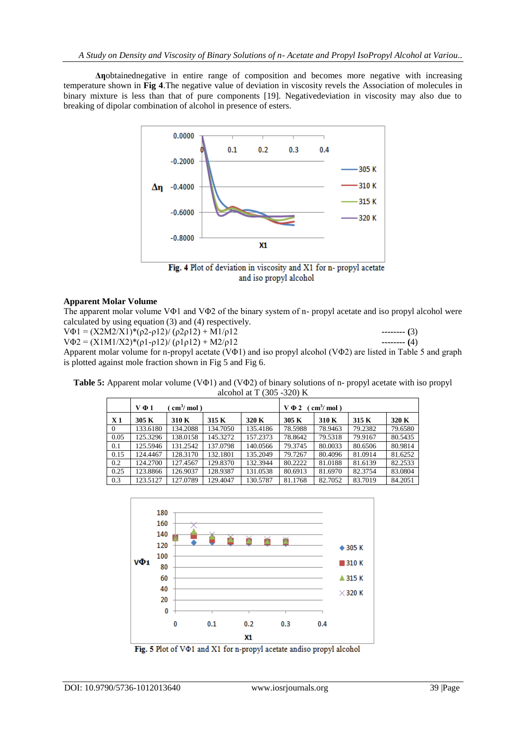**Δƞ**obtainednegative in entire range of composition and becomes more negative with increasing temperature shown in **Fig 4**.The negative value of deviation in viscosity revels the Association of molecules in binary mixture is less than that of pure components [19]. Negativedeviation in viscosity may also due to breaking of dipolar combination of alcohol in presence of esters.



and iso propyl alcohol

## **Apparent Molar Volume**

The apparent molar volume VΦ1 and VΦ2 of the binary system of n- propyl acetate and iso propyl alcohol were calculated by using equation (3) and (4) respectively.

 $V\Phi$ 1 =  $(X2M2/X1)^*(p2-p12)/ (p2p12) + M1/p12$  --------- **(3)**  $V\Phi$ 2 = (X1M1/X2)\*( $\rho$ 1- $\rho$ 12)/ ( $\rho$ 1 $\rho$ 12) + M2/ $\rho$ 12 **--------** (4) Apparent molar volume for n-propyl acetate (VΦ1) and iso propyl alcohol (VΦ2) are listed in Table 5 and graph is plotted against mole fraction shown in Fig 5 and Fig 6.

**Table 5:** Apparent molar volume (VΦ1) and (VΦ2) of binary solutions of n- propyl acetate with iso propyl alcohol at T (305 -320) K

|                | $\text{cm}^3/\text{mol}$ )<br>$V \Phi 1$ |          |          | $\text{cm}^3/\text{mol}$ )<br>$V \Phi 2$ |         |         |         |         |
|----------------|------------------------------------------|----------|----------|------------------------------------------|---------|---------|---------|---------|
| X <sub>1</sub> | 305 K                                    | 310 K    | 315 K    | 320 K                                    | 305 K   | 310 K   | 315 K   | 320 K   |
| $\overline{0}$ | 133.6180                                 | 134.2088 | 134.7050 | 135.4186                                 | 78.5988 | 78.9463 | 79.2382 | 79.6580 |
| 0.05           | 125.3296                                 | 138.0158 | 145.3272 | 157.2373                                 | 78.8642 | 79.5318 | 79.9167 | 80.5435 |
| 0.1            | 125.5946                                 | 131.2542 | 137.0798 | 140.0566                                 | 79.3745 | 80.0033 | 80.6506 | 80.9814 |
| 0.15           | 124.4467                                 | 128.3170 | 132.1801 | 135.2049                                 | 79.7267 | 80.4096 | 81.0914 | 81.6252 |
| 0.2            | 124.2700                                 | 127.4567 | 129.8370 | 132.3944                                 | 80.2222 | 81.0188 | 81.6139 | 82.2533 |
| 0.25           | 123.8866                                 | 126.9037 | 128.9387 | 131.0538                                 | 80.6913 | 81.6970 | 82.3754 | 83.0804 |
| 0.3            | 123.5127                                 | 127.0789 | 129.4047 | 130.5787                                 | 81.1768 | 82.7052 | 83.7019 | 84.2051 |



Fig. 5 Plot of V $\Phi$ 1 and X1 for n-propyl acetate andiso propyl alcohol